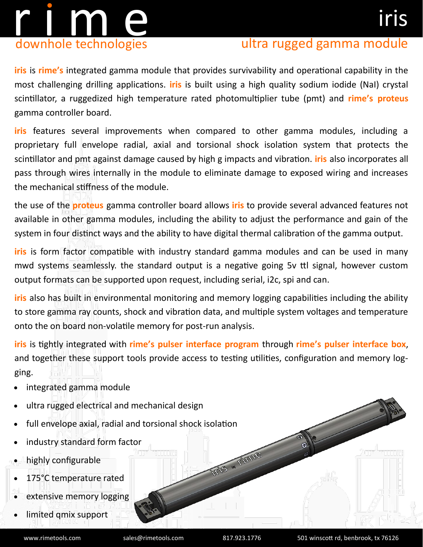# r i m en downhole technologies

### ultra rugged gamma module

**iris** is **rime's** integrated gamma module that provides survivability and operational capability in the most challenging drilling applications. **iris** is built using a high quality sodium iodide (NaI) crystal scintillator, a ruggedized high temperature rated photomultiplier tube (pmt) and **rime's proteus**  gamma controller board.

**iris** features several improvements when compared to other gamma modules, including a proprietary full envelope radial, axial and torsional shock isolation system that protects the scintillator and pmt against damage caused by high g impacts and vibration. **iris** also incorporates all pass through wires internally in the module to eliminate damage to exposed wiring and increases the mechanical stiffness of the module.

the use of the **proteus** gamma controller board allows **iris** to provide several advanced features not available in other gamma modules, including the ability to adjust the performance and gain of the system in four distinct ways and the ability to have digital thermal calibration of the gamma output.

**iris** is form factor compatible with industry standard gamma modules and can be used in many mwd systems seamlessly. the standard output is a negative going 5v ttl signal, however custom output formats can be supported upon request, including serial, i2c, spi and can.

**iris** also has built in environmental monitoring and memory logging capabilities including the ability to store gamma ray counts, shock and vibration data, and multiple system voltages and temperature onto the on board non-volatile memory for post-run analysis.

**iris** is tightly integrated with **rime's pulser interface program** through **rime's pulser interface box**, and together these support tools provide access to testing utilities, configuration and memory logging.

- integrated gamma module
- ultra rugged electrical and mechanical design
- full envelope axial, radial and torsional shock isolation
- industry standard form factor
- highly configurable
- 175°C temperature rated
- extensive memory logging
- limited qmix support

VIS "TIME

 $\odot$